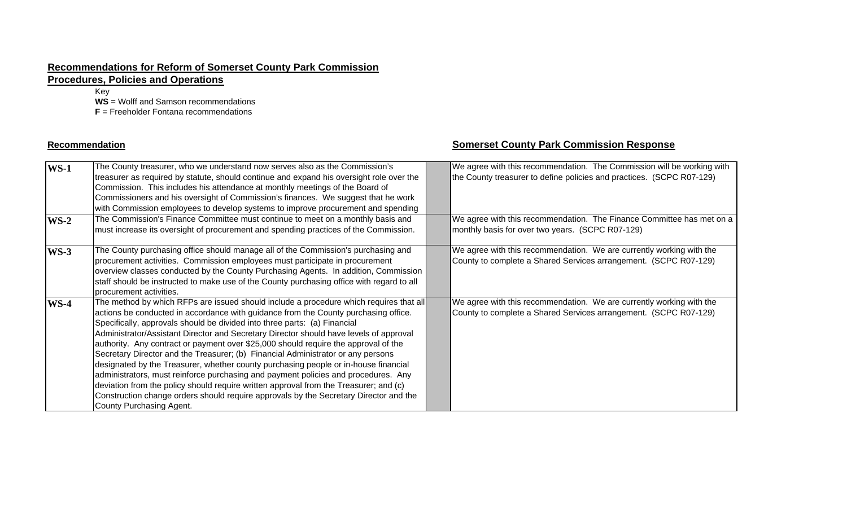#### **Recommendations for Reform of Somerset County Park Commission**

## **Procedures, Policies and Operations**

Key

**WS** = Wolff and Samson recommendations

**F** = Freeholder Fontana recommendations

#### **Recommendation**

#### **Somerset County Park Commission Response**

| $WS-1$ | The County treasurer, who we understand now serves also as the Commission's<br>treasurer as required by statute, should continue and expand his oversight role over the<br>Commission. This includes his attendance at monthly meetings of the Board of<br>Commissioners and his oversight of Commission's finances. We suggest that he work<br>with Commission employees to develop systems to improve procurement and spending                                                                                                                                                                                                                                                                                                                                                                                                                                                                                           | We agree with this recommendation. The Commission will be working with<br>the County treasurer to define policies and practices. (SCPC R07-129) |
|--------|----------------------------------------------------------------------------------------------------------------------------------------------------------------------------------------------------------------------------------------------------------------------------------------------------------------------------------------------------------------------------------------------------------------------------------------------------------------------------------------------------------------------------------------------------------------------------------------------------------------------------------------------------------------------------------------------------------------------------------------------------------------------------------------------------------------------------------------------------------------------------------------------------------------------------|-------------------------------------------------------------------------------------------------------------------------------------------------|
| $WS-2$ | The Commission's Finance Committee must continue to meet on a monthly basis and<br>must increase its oversight of procurement and spending practices of the Commission.                                                                                                                                                                                                                                                                                                                                                                                                                                                                                                                                                                                                                                                                                                                                                    | We agree with this recommendation. The Finance Committee has met on a<br>monthly basis for over two years. (SCPC R07-129)                       |
| $WS-3$ | The County purchasing office should manage all of the Commission's purchasing and<br>procurement activities. Commission employees must participate in procurement<br>overview classes conducted by the County Purchasing Agents. In addition, Commission<br>staff should be instructed to make use of the County purchasing office with regard to all<br>procurement activities.                                                                                                                                                                                                                                                                                                                                                                                                                                                                                                                                           | We agree with this recommendation. We are currently working with the<br>County to complete a Shared Services arrangement. (SCPC R07-129)        |
| $WS-4$ | The method by which RFPs are issued should include a procedure which requires that all<br>actions be conducted in accordance with guidance from the County purchasing office.<br>Specifically, approvals should be divided into three parts: (a) Financial<br>Administrator/Assistant Director and Secretary Director should have levels of approval<br>authority. Any contract or payment over \$25,000 should require the approval of the<br>Secretary Director and the Treasurer; (b) Financial Administrator or any persons<br>designated by the Treasurer, whether county purchasing people or in-house financial<br>administrators, must reinforce purchasing and payment policies and procedures. Any<br>deviation from the policy should require written approval from the Treasurer; and (c)<br>Construction change orders should require approvals by the Secretary Director and the<br>County Purchasing Agent. | We agree with this recommendation. We are currently working with the<br>County to complete a Shared Services arrangement. (SCPC R07-129)        |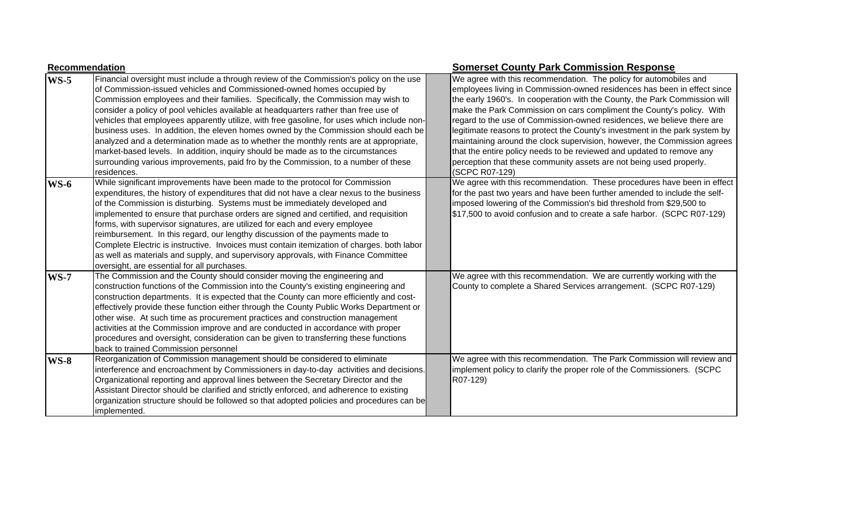|             | Recommendation                                                                                                                                                                                                                                                                                                                                                                                                                                                                                                                                                                                                                                                                                                                                                                                                         | <b>Somerset County Park Commission Response</b>                                                                                                                                                                                                                                                                                                                                                                                                                                                                                                                                                                                                                                                             |  |
|-------------|------------------------------------------------------------------------------------------------------------------------------------------------------------------------------------------------------------------------------------------------------------------------------------------------------------------------------------------------------------------------------------------------------------------------------------------------------------------------------------------------------------------------------------------------------------------------------------------------------------------------------------------------------------------------------------------------------------------------------------------------------------------------------------------------------------------------|-------------------------------------------------------------------------------------------------------------------------------------------------------------------------------------------------------------------------------------------------------------------------------------------------------------------------------------------------------------------------------------------------------------------------------------------------------------------------------------------------------------------------------------------------------------------------------------------------------------------------------------------------------------------------------------------------------------|--|
| $WS-5$      | Financial oversight must include a through review of the Commission's policy on the use<br>of Commission-issued vehicles and Commissioned-owned homes occupied by<br>Commission employees and their families. Specifically, the Commission may wish to<br>consider a policy of pool vehicles available at headquarters rather than free use of<br>vehicles that employees apparently utilize, with free gasoline, for uses which include non-<br>business uses. In addition, the eleven homes owned by the Commission should each be<br>analyzed and a determination made as to whether the monthly rents are at appropriate,<br>market-based levels. In addition, inquiry should be made as to the circumstances<br>surrounding various improvements, paid fro by the Commission, to a number of these<br>residences. | We agree with this recommendation. The policy for automobiles and<br>employees living in Commission-owned residences has been in effect since<br>the early 1960's. In cooperation with the County, the Park Commission will<br>make the Park Commission on cars compliment the County's policy. With<br>regard to the use of Commission-owned residences, we believe there are<br>legitimate reasons to protect the County's investment in the park system by<br>maintaining around the clock supervision, however, the Commission agrees<br>that the entire policy needs to be reviewed and updated to remove any<br>perception that these community assets are not being used properly.<br>(SCPC R07-129) |  |
| $WS-6$      | While significant improvements have been made to the protocol for Commission<br>expenditures, the history of expenditures that did not have a clear nexus to the business<br>of the Commission is disturbing. Systems must be immediately developed and<br>implemented to ensure that purchase orders are signed and certified, and requisition<br>forms, with supervisor signatures, are utilized for each and every employee<br>reimbursement. In this regard, our lengthy discussion of the payments made to<br>Complete Electric is instructive. Invoices must contain itemization of charges. both labor<br>as well as materials and supply, and supervisory approvals, with Finance Committee<br>oversight, are essential for all purchases.                                                                     | We agree with this recommendation. These procedures have been in effect<br>for the past two years and have been further amended to include the self-<br>imposed lowering of the Commission's bid threshold from \$29,500 to<br>\$17,500 to avoid confusion and to create a safe harbor. (SCPC R07-129)                                                                                                                                                                                                                                                                                                                                                                                                      |  |
| <b>WS-7</b> | The Commission and the County should consider moving the engineering and<br>construction functions of the Commission into the County's existing engineering and<br>construction departments. It is expected that the County can more efficiently and cost-<br>effectively provide these function either through the County Public Works Department or<br>other wise. At such time as procurement practices and construction management<br>activities at the Commission improve and are conducted in accordance with proper<br>procedures and oversight, consideration can be given to transferring these functions<br>back to trained Commission personnel                                                                                                                                                             | We agree with this recommendation. We are currently working with the<br>County to complete a Shared Services arrangement. (SCPC R07-129)                                                                                                                                                                                                                                                                                                                                                                                                                                                                                                                                                                    |  |
| $WS-8$      | Reorganization of Commission management should be considered to eliminate<br>interference and encroachment by Commissioners in day-to-day activities and decisions.<br>Organizational reporting and approval lines between the Secretary Director and the<br>Assistant Director should be clarified and strictly enforced, and adherence to existing<br>organization structure should be followed so that adopted policies and procedures can be<br>implemented.                                                                                                                                                                                                                                                                                                                                                       | We agree with this recommendation. The Park Commission will review and<br>implement policy to clarify the proper role of the Commissioners. (SCPC<br>R07-129)                                                                                                                                                                                                                                                                                                                                                                                                                                                                                                                                               |  |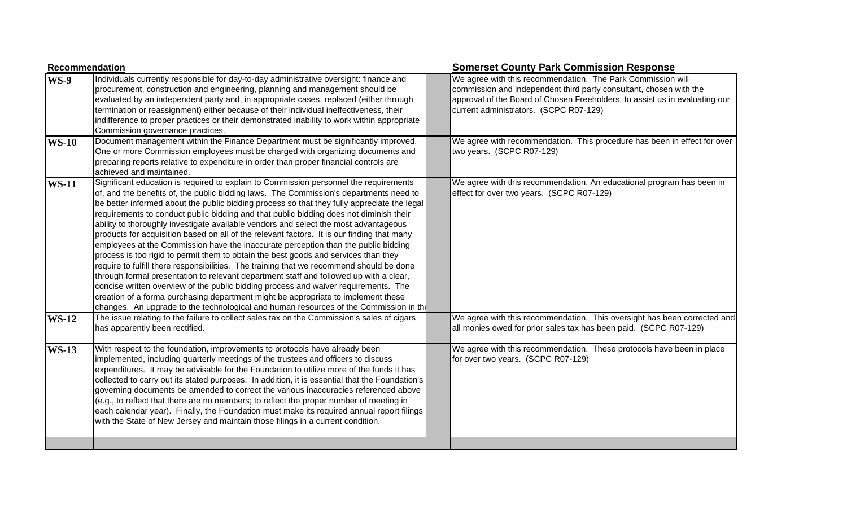|              | <b>Recommendation</b>                                                                                                                                                                                                                                                                                                                                                                                                                                                                                                                                                                                                                                                                                                                                                                                                                                                                                                                                                                                                                                                                                                                                                                                  | <b>Somerset County Park Commission Response</b>                                                                                                                                                                                                            |
|--------------|--------------------------------------------------------------------------------------------------------------------------------------------------------------------------------------------------------------------------------------------------------------------------------------------------------------------------------------------------------------------------------------------------------------------------------------------------------------------------------------------------------------------------------------------------------------------------------------------------------------------------------------------------------------------------------------------------------------------------------------------------------------------------------------------------------------------------------------------------------------------------------------------------------------------------------------------------------------------------------------------------------------------------------------------------------------------------------------------------------------------------------------------------------------------------------------------------------|------------------------------------------------------------------------------------------------------------------------------------------------------------------------------------------------------------------------------------------------------------|
| <b>WS-9</b>  | Individuals currently responsible for day-to-day administrative oversight: finance and<br>procurement, construction and engineering, planning and management should be<br>evaluated by an independent party and, in appropriate cases, replaced (either through<br>termination or reassignment) either because of their individual ineffectiveness, their<br>indifference to proper practices or their demonstrated inability to work within appropriate<br>Commission governance practices.                                                                                                                                                                                                                                                                                                                                                                                                                                                                                                                                                                                                                                                                                                           | We agree with this recommendation. The Park Commission will<br>commission and independent third party consultant, chosen with the<br>approval of the Board of Chosen Freeholders, to assist us in evaluating our<br>current administrators. (SCPC R07-129) |
| <b>WS-10</b> | Document management within the Finance Department must be significantly improved.<br>One or more Commission employees must be charged with organizing documents and<br>preparing reports relative to expenditure in order than proper financial controls are<br>achieved and maintained.                                                                                                                                                                                                                                                                                                                                                                                                                                                                                                                                                                                                                                                                                                                                                                                                                                                                                                               | We agree with recommendation. This procedure has been in effect for over<br>two years. (SCPC R07-129)                                                                                                                                                      |
| <b>WS-11</b> | Significant education is required to explain to Commission personnel the requirements<br>of, and the benefits of, the public bidding laws. The Commission's departments need to<br>be better informed about the public bidding process so that they fully appreciate the legal<br>requirements to conduct public bidding and that public bidding does not diminish their<br>ability to thoroughly investigate available vendors and select the most advantageous<br>products for acquisition based on all of the relevant factors. It is our finding that many<br>employees at the Commission have the inaccurate perception than the public bidding<br>process is too rigid to permit them to obtain the best goods and services than they<br>require to fulfill there responsibilities. The training that we recommend should be done<br>through formal presentation to relevant department staff and followed up with a clear,<br>concise written overview of the public bidding process and waiver requirements. The<br>creation of a forma purchasing department might be appropriate to implement these<br>changes. An upgrade to the technological and human resources of the Commission in the | We agree with this recommendation. An educational program has been in<br>effect for over two years. (SCPC R07-129)                                                                                                                                         |
| <b>WS-12</b> | The issue relating to the failure to collect sales tax on the Commission's sales of cigars<br>has apparently been rectified.                                                                                                                                                                                                                                                                                                                                                                                                                                                                                                                                                                                                                                                                                                                                                                                                                                                                                                                                                                                                                                                                           | We agree with this recommendation. This oversight has been corrected and<br>all monies owed for prior sales tax has been paid. (SCPC R07-129)                                                                                                              |
| <b>WS-13</b> | With respect to the foundation, improvements to protocols have already been<br>implemented, including quarterly meetings of the trustees and officers to discuss<br>expenditures. It may be advisable for the Foundation to utilize more of the funds it has<br>collected to carry out its stated purposes. In addition, it is essential that the Foundation's<br>governing documents be amended to correct the various inaccuracies referenced above<br>(e.g., to reflect that there are no members; to reflect the proper number of meeting in<br>each calendar year). Finally, the Foundation must make its required annual report filings<br>with the State of New Jersey and maintain those filings in a current condition.                                                                                                                                                                                                                                                                                                                                                                                                                                                                       | We agree with this recommendation. These protocols have been in place<br>for over two years. (SCPC R07-129)                                                                                                                                                |
|              |                                                                                                                                                                                                                                                                                                                                                                                                                                                                                                                                                                                                                                                                                                                                                                                                                                                                                                                                                                                                                                                                                                                                                                                                        |                                                                                                                                                                                                                                                            |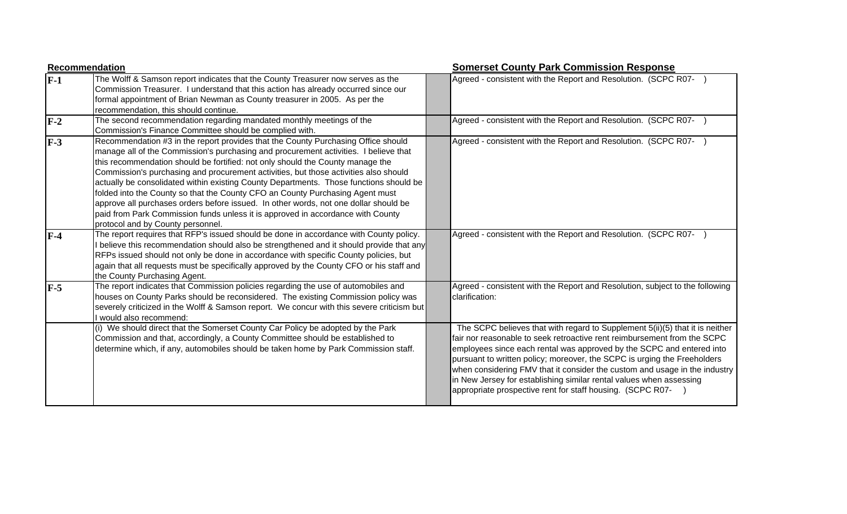|       | <b>Recommendation</b>                                                                                                                                                                                                                                                                                                                                                                                                                                                                                                                                                                                                                                                                                                                          | <b>Somerset County Park Commission Response</b>                                                                                                                                                                                                                                                                                                                                                                                                                                                                                  |
|-------|------------------------------------------------------------------------------------------------------------------------------------------------------------------------------------------------------------------------------------------------------------------------------------------------------------------------------------------------------------------------------------------------------------------------------------------------------------------------------------------------------------------------------------------------------------------------------------------------------------------------------------------------------------------------------------------------------------------------------------------------|----------------------------------------------------------------------------------------------------------------------------------------------------------------------------------------------------------------------------------------------------------------------------------------------------------------------------------------------------------------------------------------------------------------------------------------------------------------------------------------------------------------------------------|
| $F-1$ | The Wolff & Samson report indicates that the County Treasurer now serves as the<br>Commission Treasurer. I understand that this action has already occurred since our<br>formal appointment of Brian Newman as County treasurer in 2005. As per the<br>recommendation, this should continue.                                                                                                                                                                                                                                                                                                                                                                                                                                                   | Agreed - consistent with the Report and Resolution. (SCPC R07-                                                                                                                                                                                                                                                                                                                                                                                                                                                                   |
| $F-2$ | The second recommendation regarding mandated monthly meetings of the<br>Commission's Finance Committee should be complied with.                                                                                                                                                                                                                                                                                                                                                                                                                                                                                                                                                                                                                | Agreed - consistent with the Report and Resolution. (SCPC R07-                                                                                                                                                                                                                                                                                                                                                                                                                                                                   |
| $F-3$ | Recommendation #3 in the report provides that the County Purchasing Office should<br>manage all of the Commission's purchasing and procurement activities. I believe that<br>this recommendation should be fortified: not only should the County manage the<br>Commission's purchasing and procurement activities, but those activities also should<br>actually be consolidated within existing County Departments. Those functions should be<br>folded into the County so that the County CFO an County Purchasing Agent must<br>approve all purchases orders before issued. In other words, not one dollar should be<br>paid from Park Commission funds unless it is approved in accordance with County<br>protocol and by County personnel. | Agreed - consistent with the Report and Resolution. (SCPC R07-                                                                                                                                                                                                                                                                                                                                                                                                                                                                   |
| $F-4$ | The report requires that RFP's issued should be done in accordance with County policy.<br>I believe this recommendation should also be strengthened and it should provide that any<br>RFPs issued should not only be done in accordance with specific County policies, but<br>again that all requests must be specifically approved by the County CFO or his staff and<br>the County Purchasing Agent.                                                                                                                                                                                                                                                                                                                                         | Agreed - consistent with the Report and Resolution. (SCPC R07-                                                                                                                                                                                                                                                                                                                                                                                                                                                                   |
| $F-5$ | The report indicates that Commission policies regarding the use of automobiles and<br>houses on County Parks should be reconsidered. The existing Commission policy was<br>severely criticized in the Wolff & Samson report. We concur with this severe criticism but<br>I would also recommend:                                                                                                                                                                                                                                                                                                                                                                                                                                               | Agreed - consistent with the Report and Resolution, subject to the following<br>Iclarification:                                                                                                                                                                                                                                                                                                                                                                                                                                  |
|       | (i) We should direct that the Somerset County Car Policy be adopted by the Park<br>Commission and that, accordingly, a County Committee should be established to<br>determine which, if any, automobiles should be taken home by Park Commission staff.                                                                                                                                                                                                                                                                                                                                                                                                                                                                                        | The SCPC believes that with regard to Supplement 5(ii)(5) that it is neither<br>fair nor reasonable to seek retroactive rent reimbursement from the SCPC<br>employees since each rental was approved by the SCPC and entered into<br>pursuant to written policy; moreover, the SCPC is urging the Freeholders<br>when considering FMV that it consider the custom and usage in the industry<br>in New Jersey for establishing similar rental values when assessing<br>appropriate prospective rent for staff housing. (SCPC R07- |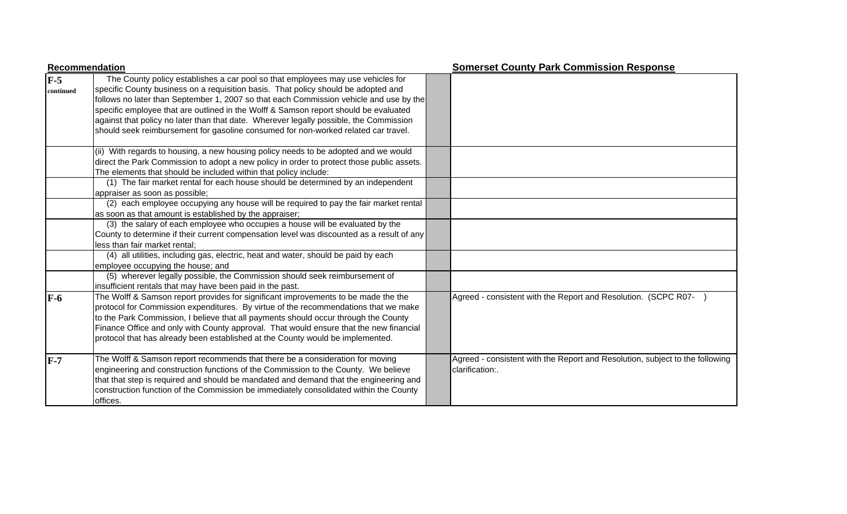|                    | <b>Recommendation</b>                                                                                                                                                                                                                                                                                                                                                                                                                                                                                                                   |  | <b>Somerset County Park Commission Response</b>                                                 |  |
|--------------------|-----------------------------------------------------------------------------------------------------------------------------------------------------------------------------------------------------------------------------------------------------------------------------------------------------------------------------------------------------------------------------------------------------------------------------------------------------------------------------------------------------------------------------------------|--|-------------------------------------------------------------------------------------------------|--|
| $F-5$<br>continued | The County policy establishes a car pool so that employees may use vehicles for<br>specific County business on a requisition basis. That policy should be adopted and<br>follows no later than September 1, 2007 so that each Commission vehicle and use by the<br>specific employee that are outlined in the Wolff & Samson report should be evaluated<br>against that policy no later than that date. Wherever legally possible, the Commission<br>should seek reimbursement for gasoline consumed for non-worked related car travel. |  |                                                                                                 |  |
|                    | (ii) With regards to housing, a new housing policy needs to be adopted and we would<br>direct the Park Commission to adopt a new policy in order to protect those public assets.<br>The elements that should be included within that policy include:                                                                                                                                                                                                                                                                                    |  |                                                                                                 |  |
|                    | (1) The fair market rental for each house should be determined by an independent<br>appraiser as soon as possible;                                                                                                                                                                                                                                                                                                                                                                                                                      |  |                                                                                                 |  |
|                    | (2) each employee occupying any house will be required to pay the fair market rental<br>as soon as that amount is established by the appraiser;                                                                                                                                                                                                                                                                                                                                                                                         |  |                                                                                                 |  |
|                    | (3) the salary of each employee who occupies a house will be evaluated by the<br>County to determine if their current compensation level was discounted as a result of any<br>less than fair market rental;                                                                                                                                                                                                                                                                                                                             |  |                                                                                                 |  |
|                    | (4) all utilities, including gas, electric, heat and water, should be paid by each<br>employee occupying the house; and                                                                                                                                                                                                                                                                                                                                                                                                                 |  |                                                                                                 |  |
|                    | (5) wherever legally possible, the Commission should seek reimbursement of<br>insufficient rentals that may have been paid in the past.                                                                                                                                                                                                                                                                                                                                                                                                 |  |                                                                                                 |  |
| $F-6$              | The Wolff & Samson report provides for significant improvements to be made the the<br>protocol for Commission expenditures. By virtue of the recommendations that we make<br>to the Park Commission, I believe that all payments should occur through the County<br>Finance Office and only with County approval. That would ensure that the new financial<br>protocol that has already been established at the County would be implemented.                                                                                            |  | Agreed - consistent with the Report and Resolution. (SCPC R07-                                  |  |
| $F-7$              | The Wolff & Samson report recommends that there be a consideration for moving<br>engineering and construction functions of the Commission to the County. We believe<br>that that step is required and should be mandated and demand that the engineering and<br>construction function of the Commission be immediately consolidated within the County<br>offices.                                                                                                                                                                       |  | Agreed - consistent with the Report and Resolution, subject to the following<br>clarification:. |  |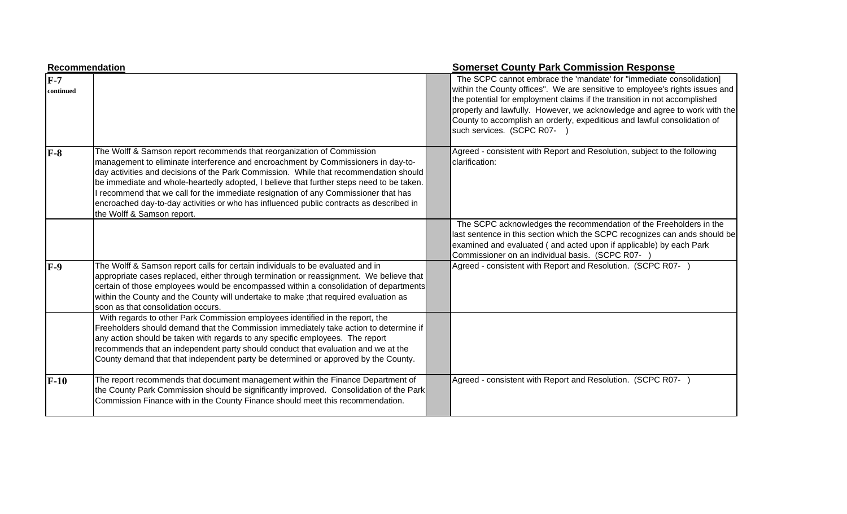| Recommendation     |                                                                                                                                                                                                                                                                                                                                                                                                                                                                                                                                                                | <b>Somerset County Park Commission Response</b>                                                                                                                                                                                                                                                                                                                                                                        |
|--------------------|----------------------------------------------------------------------------------------------------------------------------------------------------------------------------------------------------------------------------------------------------------------------------------------------------------------------------------------------------------------------------------------------------------------------------------------------------------------------------------------------------------------------------------------------------------------|------------------------------------------------------------------------------------------------------------------------------------------------------------------------------------------------------------------------------------------------------------------------------------------------------------------------------------------------------------------------------------------------------------------------|
| $F-7$<br>continued |                                                                                                                                                                                                                                                                                                                                                                                                                                                                                                                                                                | The SCPC cannot embrace the 'mandate' for "immediate consolidation]<br>within the County offices". We are sensitive to employee's rights issues and<br>the potential for employment claims if the transition in not accomplished<br>properly and lawfully. However, we acknowledge and agree to work with the<br>County to accomplish an orderly, expeditious and lawful consolidation of<br>such services. (SCPC R07- |
| $F-8$              | The Wolff & Samson report recommends that reorganization of Commission<br>management to eliminate interference and encroachment by Commissioners in day-to-<br>day activities and decisions of the Park Commission. While that recommendation should<br>be immediate and whole-heartedly adopted, I believe that further steps need to be taken.<br>recommend that we call for the immediate resignation of any Commissioner that has<br>encroached day-to-day activities or who has influenced public contracts as described in<br>the Wolff & Samson report. | Agreed - consistent with Report and Resolution, subject to the following<br>clarification:                                                                                                                                                                                                                                                                                                                             |
|                    |                                                                                                                                                                                                                                                                                                                                                                                                                                                                                                                                                                | The SCPC acknowledges the recommendation of the Freeholders in the<br>last sentence in this section which the SCPC recognizes can ands should be<br>examined and evaluated (and acted upon if applicable) by each Park<br>Commissioner on an individual basis. (SCPC R07-                                                                                                                                              |
| $F-9$              | The Wolff & Samson report calls for certain individuals to be evaluated and in<br>appropriate cases replaced, either through termination or reassignment. We believe that<br>certain of those employees would be encompassed within a consolidation of departments<br>within the County and the County will undertake to make ; that required evaluation as<br>soon as that consolidation occurs.                                                                                                                                                              | Agreed - consistent with Report and Resolution. (SCPC R07-)                                                                                                                                                                                                                                                                                                                                                            |
|                    | With regards to other Park Commission employees identified in the report, the<br>Freeholders should demand that the Commission immediately take action to determine if<br>any action should be taken with regards to any specific employees. The report<br>recommends that an independent party should conduct that evaluation and we at the<br>County demand that that independent party be determined or approved by the County.                                                                                                                             |                                                                                                                                                                                                                                                                                                                                                                                                                        |
| $F-10$             | The report recommends that document management within the Finance Department of<br>the County Park Commission should be significantly improved. Consolidation of the Park<br>Commission Finance with in the County Finance should meet this recommendation.                                                                                                                                                                                                                                                                                                    | Agreed - consistent with Report and Resolution. (SCPC R07- )                                                                                                                                                                                                                                                                                                                                                           |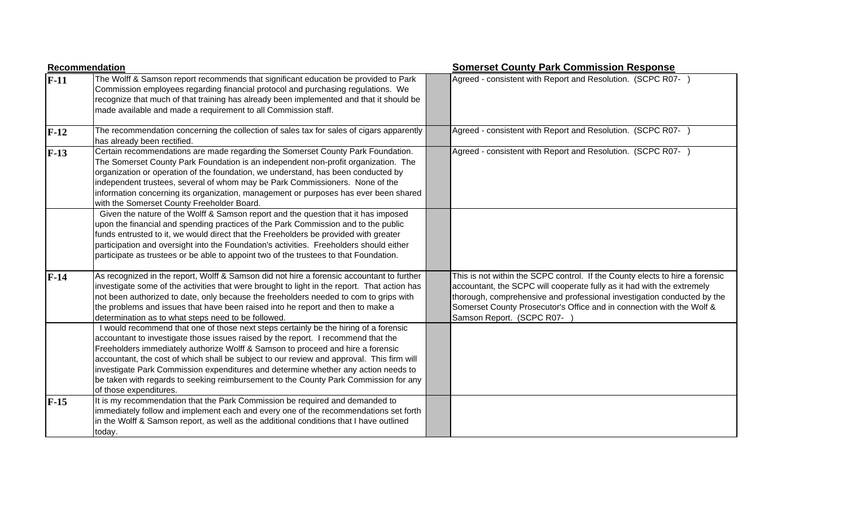|        | Recommendation                                                                                                                                                                                                                                                                                                                                                                                                                                                                                                                                                    | <b>Somerset County Park Commission Response</b>                                                                                                                                                                                                                                                                                         |  |
|--------|-------------------------------------------------------------------------------------------------------------------------------------------------------------------------------------------------------------------------------------------------------------------------------------------------------------------------------------------------------------------------------------------------------------------------------------------------------------------------------------------------------------------------------------------------------------------|-----------------------------------------------------------------------------------------------------------------------------------------------------------------------------------------------------------------------------------------------------------------------------------------------------------------------------------------|--|
| $F-11$ | The Wolff & Samson report recommends that significant education be provided to Park<br>Commission employees regarding financial protocol and purchasing regulations. We<br>recognize that much of that training has already been implemented and that it should be<br>made available and made a requirement to all Commission staff.                                                                                                                                                                                                                              | Agreed - consistent with Report and Resolution. (SCPC R07- )                                                                                                                                                                                                                                                                            |  |
| $F-12$ | The recommendation concerning the collection of sales tax for sales of cigars apparently<br>has already been rectified.                                                                                                                                                                                                                                                                                                                                                                                                                                           | Agreed - consistent with Report and Resolution. (SCPC R07- )                                                                                                                                                                                                                                                                            |  |
| $F-13$ | Certain recommendations are made regarding the Somerset County Park Foundation.<br>The Somerset County Park Foundation is an independent non-profit organization. The<br>organization or operation of the foundation, we understand, has been conducted by<br>independent trustees, several of whom may be Park Commissioners. None of the<br>information concerning its organization, management or purposes has ever been shared<br>with the Somerset County Freeholder Board.                                                                                  | Agreed - consistent with Report and Resolution. (SCPC R07- )                                                                                                                                                                                                                                                                            |  |
|        | Given the nature of the Wolff & Samson report and the question that it has imposed<br>upon the financial and spending practices of the Park Commission and to the public<br>funds entrusted to it, we would direct that the Freeholders be provided with greater<br>participation and oversight into the Foundation's activities. Freeholders should either<br>participate as trustees or be able to appoint two of the trustees to that Foundation.                                                                                                              |                                                                                                                                                                                                                                                                                                                                         |  |
| $F-14$ | As recognized in the report, Wolff & Samson did not hire a forensic accountant to further<br>investigate some of the activities that were brought to light in the report. That action has<br>not been authorized to date, only because the freeholders needed to com to grips with<br>the problems and issues that have been raised into he report and then to make a<br>determination as to what steps need to be followed.                                                                                                                                      | This is not within the SCPC control. If the County elects to hire a forensic<br>accountant, the SCPC will cooperate fully as it had with the extremely<br>thorough, comprehensive and professional investigation conducted by the<br>Somerset County Prosecutor's Office and in connection with the Wolf &<br>Samson Report. (SCPC R07- |  |
|        | I would recommend that one of those next steps certainly be the hiring of a forensic<br>accountant to investigate those issues raised by the report. I recommend that the<br>Freeholders immediately authorize Wolff & Samson to proceed and hire a forensic<br>accountant, the cost of which shall be subject to our review and approval. This firm will<br>investigate Park Commission expenditures and determine whether any action needs to<br>be taken with regards to seeking reimbursement to the County Park Commission for any<br>of those expenditures. |                                                                                                                                                                                                                                                                                                                                         |  |
| $F-15$ | It is my recommendation that the Park Commission be required and demanded to<br>immediately follow and implement each and every one of the recommendations set forth<br>in the Wolff & Samson report, as well as the additional conditions that I have outlined<br>today.                                                                                                                                                                                                                                                                                         |                                                                                                                                                                                                                                                                                                                                         |  |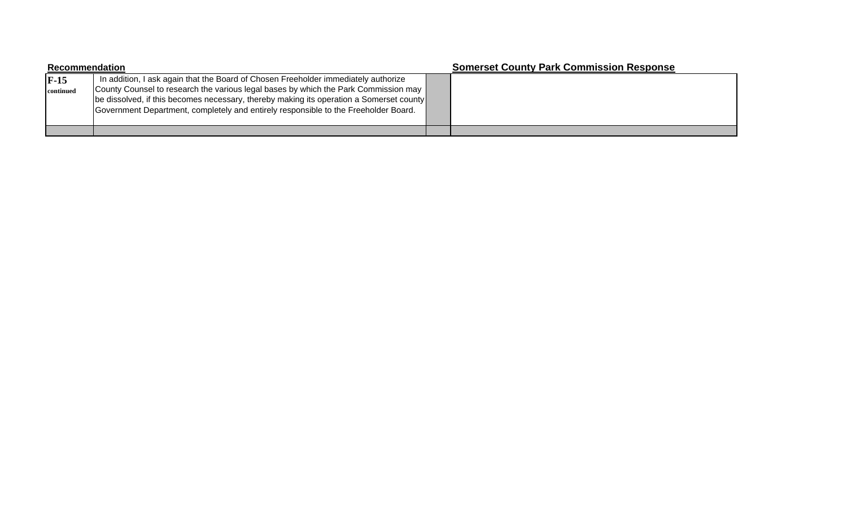| Recommendation      |                                                                                                                                                                                                                                                                                                                                                             |  | <b>Somerset County Park Commission Response</b> |
|---------------------|-------------------------------------------------------------------------------------------------------------------------------------------------------------------------------------------------------------------------------------------------------------------------------------------------------------------------------------------------------------|--|-------------------------------------------------|
| $F-15$<br>continued | In addition, I ask again that the Board of Chosen Freeholder immediately authorize<br>County Counsel to research the various legal bases by which the Park Commission may<br>be dissolved, if this becomes necessary, thereby making its operation a Somerset county<br>Government Department, completely and entirely responsible to the Freeholder Board. |  |                                                 |
|                     |                                                                                                                                                                                                                                                                                                                                                             |  |                                                 |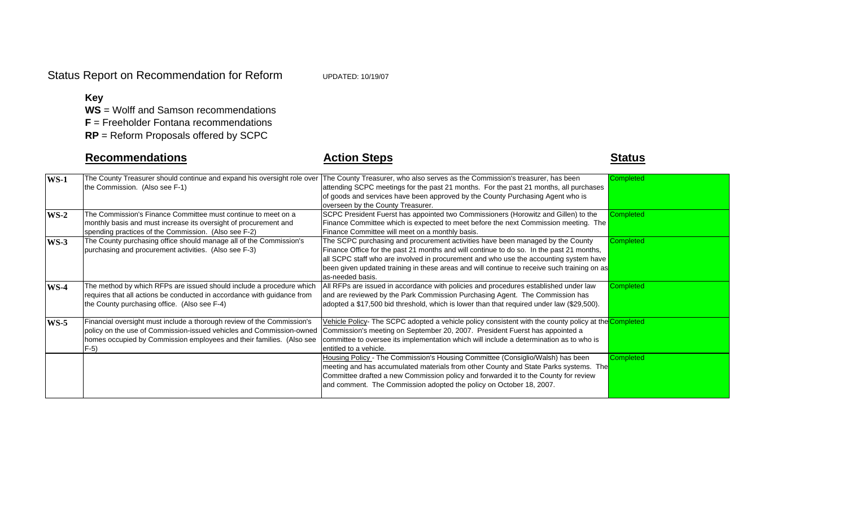### **Key**

**WS** = Wolff and Samson recommendations

**F** = Freeholder Fontana recommendations

**RP** = Reform Proposals offered by SCPC

# **Recommendations**

# **Action Steps Contract Contract Contract Contract Contract Contract Contract Contract Contract Contract Contract Contract Contract Contract Contract Contract Contract Contract Contract Contract Contract Contract Contract**

| $WS-1$ | The County Treasurer should continue and expand his oversight role over | The County Treasurer, who also serves as the Commission's treasurer, has been                        | <b>Completed</b> |
|--------|-------------------------------------------------------------------------|------------------------------------------------------------------------------------------------------|------------------|
|        | the Commission. (Also see F-1)                                          | attending SCPC meetings for the past 21 months. For the past 21 months, all purchases                |                  |
|        |                                                                         | of goods and services have been approved by the County Purchasing Agent who is                       |                  |
|        |                                                                         | overseen by the County Treasurer.                                                                    |                  |
| $WS-2$ | The Commission's Finance Committee must continue to meet on a           | SCPC President Fuerst has appointed two Commissioners (Horowitz and Gillen) to the                   | Completed        |
|        | monthly basis and must increase its oversight of procurement and        | Finance Committee which is expected to meet before the next Commission meeting. The                  |                  |
|        | spending practices of the Commission. (Also see F-2)                    | Finance Committee will meet on a monthly basis.                                                      |                  |
| $WS-3$ | The County purchasing office should manage all of the Commission's      | The SCPC purchasing and procurement activities have been managed by the County                       | Completed        |
|        | purchasing and procurement activities. (Also see F-3)                   | Finance Office for the past 21 months and will continue to do so. In the past 21 months,             |                  |
|        |                                                                         | all SCPC staff who are involved in procurement and who use the accounting system have                |                  |
|        |                                                                         | been given updated training in these areas and will continue to receive such training on as          |                  |
|        |                                                                         | as-needed basis.                                                                                     |                  |
| $WS-4$ | The method by which RFPs are issued should include a procedure which    | All RFPs are issued in accordance with policies and procedures established under law                 | Completed        |
|        | requires that all actions be conducted in accordance with guidance from | and are reviewed by the Park Commission Purchasing Agent. The Commission has                         |                  |
|        | the County purchasing office. (Also see F-4)                            | adopted a \$17,500 bid threshold, which is lower than that required under law (\$29,500).            |                  |
| $WS-5$ | Financial oversight must include a thorough review of the Commission's  | Vehicle Policy- The SCPC adopted a vehicle policy consistent with the county policy at the Completed |                  |
|        | policy on the use of Commission-issued vehicles and Commission-owned    | Commission's meeting on September 20, 2007. President Fuerst has appointed a                         |                  |
|        | homes occupied by Commission employees and their families. (Also see    | committee to oversee its implementation which will include a determination as to who is              |                  |
|        | $F-5$                                                                   | entitled to a vehicle.                                                                               |                  |
|        |                                                                         | Housing Policy - The Commission's Housing Committee (Consiglio/Walsh) has been                       | Completed        |
|        |                                                                         | meeting and has accumulated materials from other County and State Parks systems. The                 |                  |
|        |                                                                         | Committee drafted a new Commission policy and forwarded it to the County for review                  |                  |
|        |                                                                         | and comment. The Commission adopted the policy on October 18, 2007.                                  |                  |
|        |                                                                         |                                                                                                      |                  |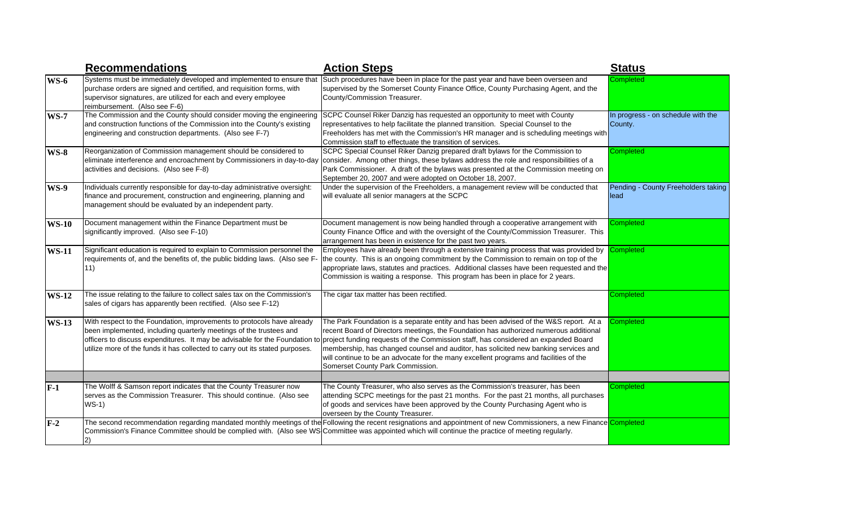|              | <b>Recommendations</b>                                                                                                                                                                                                                                                                                      | <b>Action Steps</b>                                                                                                                                                                                                                                                                                                                                                                                                                                                                      | <b>Status</b>                                 |
|--------------|-------------------------------------------------------------------------------------------------------------------------------------------------------------------------------------------------------------------------------------------------------------------------------------------------------------|------------------------------------------------------------------------------------------------------------------------------------------------------------------------------------------------------------------------------------------------------------------------------------------------------------------------------------------------------------------------------------------------------------------------------------------------------------------------------------------|-----------------------------------------------|
| $WS-6$       | Systems must be immediately developed and implemented to ensure that<br>purchase orders are signed and certified, and requisition forms, with<br>supervisor signatures, are utilized for each and every employee<br>reimbursement. (Also see F-6)                                                           | Such procedures have been in place for the past year and have been overseen and<br>supervised by the Somerset County Finance Office, County Purchasing Agent, and the<br>County/Commission Treasurer.                                                                                                                                                                                                                                                                                    | Completed                                     |
| <b>WS-7</b>  | The Commission and the County should consider moving the engineering<br>and construction functions of the Commission into the County's existing<br>engineering and construction departments. (Also see F-7)                                                                                                 | SCPC Counsel Riker Danzig has requested an opportunity to meet with County<br>representatives to help facilitate the planned transition. Special Counsel to the<br>Freeholders has met with the Commission's HR manager and is scheduling meetings with<br>Commission staff to effectuate the transition of services.                                                                                                                                                                    | In progress - on schedule with the<br>County. |
| <b>WS-8</b>  | Reorganization of Commission management should be considered to<br>eliminate interference and encroachment by Commissioners in day-to-day<br>activities and decisions. (Also see F-8)                                                                                                                       | SCPC Special Counsel Riker Danzig prepared draft bylaws for the Commission to<br>consider. Among other things, these bylaws address the role and responsibilities of a<br>Park Commissioner. A draft of the bylaws was presented at the Commission meeting on<br>September 20, 2007 and were adopted on October 18, 2007.                                                                                                                                                                | Completed                                     |
| <b>WS-9</b>  | Individuals currently responsible for day-to-day administrative oversight:<br>inance and procurement, construction and engineering, planning and<br>management should be evaluated by an independent party.                                                                                                 | Under the supervision of the Freeholders, a management review will be conducted that<br>will evaluate all senior managers at the SCPC                                                                                                                                                                                                                                                                                                                                                    | Pending - County Freeholders taking<br>llead  |
| <b>WS-10</b> | Document management within the Finance Department must be<br>significantly improved. (Also see F-10)                                                                                                                                                                                                        | Document management is now being handled through a cooperative arrangement with<br>County Finance Office and with the oversight of the County/Commission Treasurer. This<br>arrangement has been in existence for the past two years.                                                                                                                                                                                                                                                    | Completed                                     |
| <b>WS-11</b> | Significant education is required to explain to Commission personnel the<br>requirements of, and the benefits of, the public bidding laws. (Also see F-<br>11)                                                                                                                                              | Employees have already been through a extensive training process that was provided by<br>the county. This is an ongoing commitment by the Commission to remain on top of the<br>appropriate laws, statutes and practices. Additional classes have been requested and the<br>Commission is waiting a response. This program has been in place for 2 years.                                                                                                                                | Completed                                     |
| <b>WS-12</b> | The issue relating to the failure to collect sales tax on the Commission's<br>sales of cigars has apparently been rectified. (Also see F-12)                                                                                                                                                                | The cigar tax matter has been rectified.                                                                                                                                                                                                                                                                                                                                                                                                                                                 | Completed                                     |
| <b>WS-13</b> | With respect to the Foundation, improvements to protocols have already<br>been implemented, including quarterly meetings of the trustees and<br>officers to discuss expenditures. It may be advisable for the Foundation to<br>utilize more of the funds it has collected to carry out its stated purposes. | The Park Foundation is a separate entity and has been advised of the W&S report. At a<br>recent Board of Directors meetings, the Foundation has authorized numerous additional<br>project funding requests of the Commission staff, has considered an expanded Board<br>membership, has changed counsel and auditor, has solicited new banking services and<br>will continue to be an advocate for the many excellent programs and facilities of the<br>Somerset County Park Commission. | Completed                                     |
|              |                                                                                                                                                                                                                                                                                                             |                                                                                                                                                                                                                                                                                                                                                                                                                                                                                          |                                               |
| $F-1$        | The Wolff & Samson report indicates that the County Treasurer now<br>serves as the Commission Treasurer. This should continue. (Also see<br>$WS-1)$                                                                                                                                                         | The County Treasurer, who also serves as the Commission's treasurer, has been<br>attending SCPC meetings for the past 21 months. For the past 21 months, all purchases<br>of goods and services have been approved by the County Purchasing Agent who is<br>overseen by the County Treasurer.                                                                                                                                                                                            | Completed                                     |
| $F-2$        |                                                                                                                                                                                                                                                                                                             | The second recommendation regarding mandated monthly meetings of the Following the recent resignations and appointment of new Commissioners, a new Finance Completed<br>Commission's Finance Committee should be complied with. (Also see WS Committee was appointed which will continue the practice of meeting regularly.                                                                                                                                                              |                                               |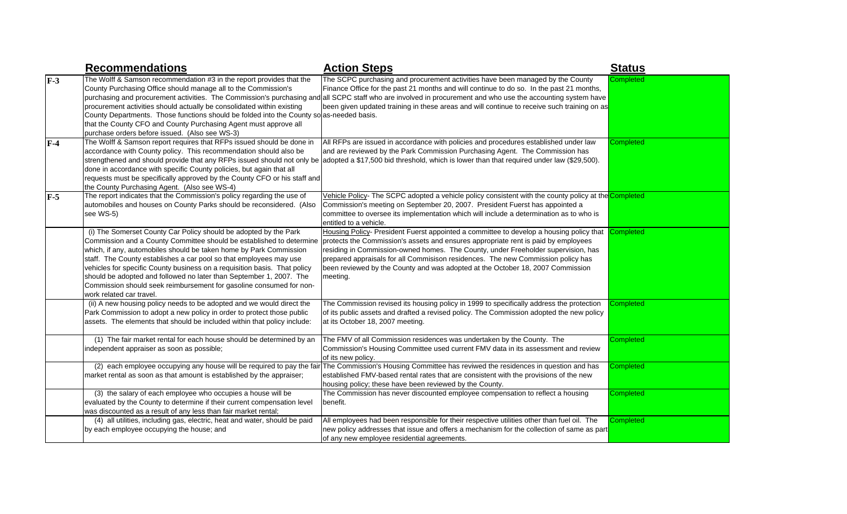|       | <b>Recommendations</b>                                                                                                                                                                                                                                                                                                                                                                                                                                                                                                                      | <b>Action Steps</b>                                                                                                                                                                                                                                                                                                                                                                                                                                  | <b>Status</b>    |
|-------|---------------------------------------------------------------------------------------------------------------------------------------------------------------------------------------------------------------------------------------------------------------------------------------------------------------------------------------------------------------------------------------------------------------------------------------------------------------------------------------------------------------------------------------------|------------------------------------------------------------------------------------------------------------------------------------------------------------------------------------------------------------------------------------------------------------------------------------------------------------------------------------------------------------------------------------------------------------------------------------------------------|------------------|
| $F-3$ | The Wolff & Samson recommendation #3 in the report provides that the<br>County Purchasing Office should manage all to the Commission's<br>burchasing and procurement activities. The Commission's purchasing and<br>procurement activities should actually be consolidated within existing<br>County Departments. Those functions should be folded into the County so as-needed basis.<br>that the County CFO and County Purchasing Agent must approve all<br>ourchase orders before issued. (Also see WS-3)                                | The SCPC purchasing and procurement activities have been managed by the County<br>Finance Office for the past 21 months and will continue to do so. In the past 21 months,<br>all SCPC staff who are involved in procurement and who use the accounting system have<br>been given updated training in these areas and will continue to receive such training on as                                                                                   | Completed        |
| $F-4$ | The Wolff & Samson report requires that RFPs issued should be done in<br>accordance with County policy. This recommendation should also be<br>strengthened and should provide that any RFPs issued should not only be<br>done in accordance with specific County policies, but again that all<br>requests must be specifically approved by the County CFO or his staff and<br>the County Purchasing Agent. (Also see WS-4)                                                                                                                  | All RFPs are issued in accordance with policies and procedures established under law<br>and are reviewed by the Park Commission Purchasing Agent. The Commission has<br>adopted a \$17,500 bid threshold, which is lower than that required under law (\$29,500).                                                                                                                                                                                    | Completed        |
| $F-5$ | The report indicates that the Commission's policy regarding the use of<br>automobiles and houses on County Parks should be reconsidered. (Also<br>see WS-5)                                                                                                                                                                                                                                                                                                                                                                                 | Vehicle Policy- The SCPC adopted a vehicle policy consistent with the county policy at the Completed<br>Commission's meeting on September 20, 2007. President Fuerst has appointed a<br>committee to oversee its implementation which will include a determination as to who is<br>entitled to a vehicle.                                                                                                                                            |                  |
|       | (i) The Somerset County Car Policy should be adopted by the Park<br>Commission and a County Committee should be established to determine<br>which, if any, automobiles should be taken home by Park Commission<br>staff. The County establishes a car pool so that employees may use<br>vehicles for specific County business on a requisition basis. That policy<br>should be adopted and followed no later than September 1, 2007. The<br>Commission should seek reimbursement for gasoline consumed for non-<br>work related car travel. | Housing Policy- President Fuerst appointed a committee to develop a housing policy that<br>protects the Commission's assets and ensures appropriate rent is paid by employees<br>residing in Commission-owned homes. The County, under Freeholder supervision, has<br>prepared appraisals for all Commisison residences. The new Commission policy has<br>been reviewed by the County and was adopted at the October 18, 2007 Commission<br>meeting. | Completed        |
|       | (ii) A new housing policy needs to be adopted and we would direct the<br>Park Commission to adopt a new policy in order to protect those public<br>assets. The elements that should be included within that policy include:                                                                                                                                                                                                                                                                                                                 | The Commission revised its housing policy in 1999 to specifically address the protection<br>of its public assets and drafted a revised policy. The Commission adopted the new policy<br>at its October 18, 2007 meeting.                                                                                                                                                                                                                             | <b>Completed</b> |
|       | (1) The fair market rental for each house should be determined by an<br>independent appraiser as soon as possible;                                                                                                                                                                                                                                                                                                                                                                                                                          | The FMV of all Commission residences was undertaken by the County. The<br>Commission's Housing Committee used current FMV data in its assessment and review<br>of its new policy.                                                                                                                                                                                                                                                                    | Completed        |
|       | (2) each employee occupying any house will be required to pay the fair<br>market rental as soon as that amount is established by the appraiser;                                                                                                                                                                                                                                                                                                                                                                                             | The Commission's Housing Committee has reviwed the residences in question and has<br>established FMV-based rental rates that are consistent with the provisions of the new<br>housing policy; these have been reviewed by the County.                                                                                                                                                                                                                | Completed        |
|       | (3) the salary of each employee who occupies a house will be<br>evaluated by the County to determine if their current compensation level<br>was discounted as a result of any less than fair market rental;                                                                                                                                                                                                                                                                                                                                 | The Commission has never discounted employee compensation to reflect a housing<br>benefit.                                                                                                                                                                                                                                                                                                                                                           | <b>Completed</b> |
|       | (4) all utilities, including gas, electric, heat and water, should be paid<br>by each employee occupying the house; and                                                                                                                                                                                                                                                                                                                                                                                                                     | All employees had been responsible for their respective utilities other than fuel oil. The<br>new policy addresses that issue and offers a mechanism for the collection of same as part<br>of any new employee residential agreements.                                                                                                                                                                                                               | Completed        |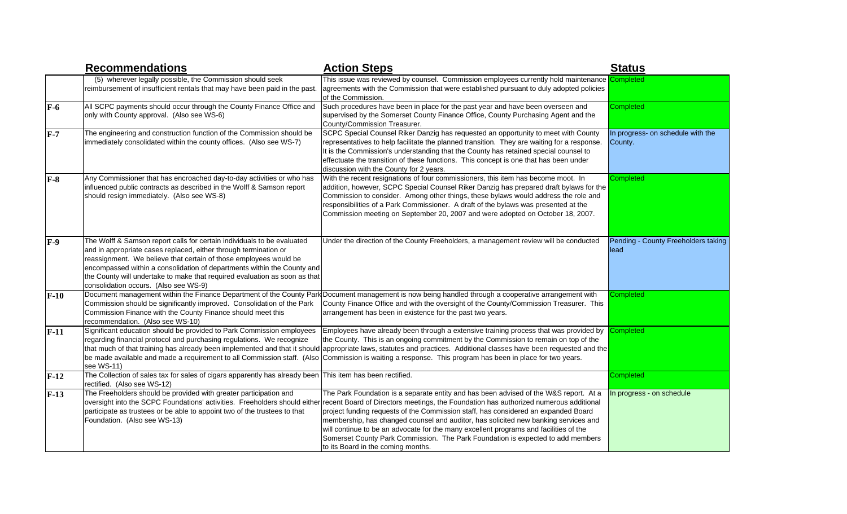|        | <b>Recommendations</b>                                                                                                                                                                                                                                                                                                                                                                                             | <b>Action Steps</b>                                                                                                                                                                                                                                                                                                                                                                                                                                                                                                                                                                                                                                      | <b>Status</b>                                |
|--------|--------------------------------------------------------------------------------------------------------------------------------------------------------------------------------------------------------------------------------------------------------------------------------------------------------------------------------------------------------------------------------------------------------------------|----------------------------------------------------------------------------------------------------------------------------------------------------------------------------------------------------------------------------------------------------------------------------------------------------------------------------------------------------------------------------------------------------------------------------------------------------------------------------------------------------------------------------------------------------------------------------------------------------------------------------------------------------------|----------------------------------------------|
|        | (5) wherever legally possible, the Commission should seek<br>reimbursement of insufficient rentals that may have been paid in the past.                                                                                                                                                                                                                                                                            | This issue was reviewed by counsel. Commission employees currently hold maintenance<br>agreements with the Commission that were established pursuant to duly adopted policies<br>of the Commission.                                                                                                                                                                                                                                                                                                                                                                                                                                                      | Completed                                    |
| $F-6$  | All SCPC payments should occur through the County Finance Office and<br>only with County approval. (Also see WS-6)                                                                                                                                                                                                                                                                                                 | Such procedures have been in place for the past year and have been overseen and<br>supervised by the Somerset County Finance Office, County Purchasing Agent and the<br>County/Commission Treasurer.                                                                                                                                                                                                                                                                                                                                                                                                                                                     | Completed                                    |
| $F-7$  | The engineering and construction function of the Commission should be<br>immediately consolidated within the county offices. (Also see WS-7)                                                                                                                                                                                                                                                                       | SCPC Special Counsel Riker Danzig has requested an opportunity to meet with County<br>representatives to help facilitate the planned transition. They are waiting for a response.<br>It is the Commission's understanding that the County has retained special counsel to<br>effectuate the transition of these functions. This concept is one that has been under<br>discussion with the County for 2 years.                                                                                                                                                                                                                                            | In progress- on schedule with the<br>County. |
| $F-8$  | Any Commissioner that has encroached day-to-day activities or who has<br>influenced public contracts as described in the Wolff & Samson report<br>should resign immediately. (Also see WS-8)                                                                                                                                                                                                                       | With the recent resignations of four commissioners, this item has become moot. In<br>addition, however, SCPC Special Counsel Riker Danzig has prepared draft bylaws for the<br>Commission to consider. Among other things, these bylaws would address the role and<br>responsibilities of a Park Commissioner. A draft of the bylaws was presented at the<br>Commission meeting on September 20, 2007 and were adopted on October 18, 2007.                                                                                                                                                                                                              | Completed                                    |
| $F-9$  | The Wolff & Samson report calls for certain individuals to be evaluated<br>and in appropriate cases replaced, either through termination or<br>reassignment. We believe that certain of those employees would be<br>encompassed within a consolidation of departments within the County and<br>the County will undertake to make that required evaluation as soon as that<br>consolidation occurs. (Also see WS-9) | Under the direction of the County Freeholders, a management review will be conducted                                                                                                                                                                                                                                                                                                                                                                                                                                                                                                                                                                     | Pending - County Freeholders taking<br>lead  |
| $F-10$ | Commission should be significantly improved. Consolidation of the Park<br>Commission Finance with the County Finance should meet this<br>recommendation. (Also see WS-10)                                                                                                                                                                                                                                          | Document management within the Finance Department of the County Park Document management is now being handled through a cooperative arrangement with<br>County Finance Office and with the oversight of the County/Commission Treasurer. This<br>arrangement has been in existence for the past two years.                                                                                                                                                                                                                                                                                                                                               | Completed                                    |
| $F-11$ | Significant education should be provided to Park Commission employees<br>regarding financial protocol and purchasing regulations. We recognize<br>see WS-11)                                                                                                                                                                                                                                                       | Employees have already been through a extensive training process that was provided by<br>the County. This is an ongoing commitment by the Commission to remain on top of the<br>that much of that training has already been implemented and that it should appropriate laws, statutes and practices. Additional classes have been requested and the<br>be made available and made a requirement to all Commission staff. (Also Commission is waiting a response. This program has been in place for two years.                                                                                                                                           | <b>Completed</b>                             |
| $F-12$ | The Collection of sales tax for sales of cigars apparently has already been This item has been rectified.<br>rectified. (Also see WS-12)                                                                                                                                                                                                                                                                           |                                                                                                                                                                                                                                                                                                                                                                                                                                                                                                                                                                                                                                                          | Completed                                    |
| $F-13$ | The Freeholders should be provided with greater participation and<br>participate as trustees or be able to appoint two of the trustees to that<br>Foundation. (Also see WS-13)                                                                                                                                                                                                                                     | The Park Foundation is a separate entity and has been advised of the W&S report. At a<br>oversight into the SCPC Foundations' activities. Freeholders should either recent Board of Directors meetings, the Foundation has authorized numerous additional<br>project funding requests of the Commission staff, has considered an expanded Board<br>membership, has changed counsel and auditor, has solicited new banking services and<br>will continue to be an advocate for the many excellent programs and facilities of the<br>Somerset County Park Commission. The Park Foundation is expected to add members<br>to its Board in the coming months. | In progress - on schedule                    |